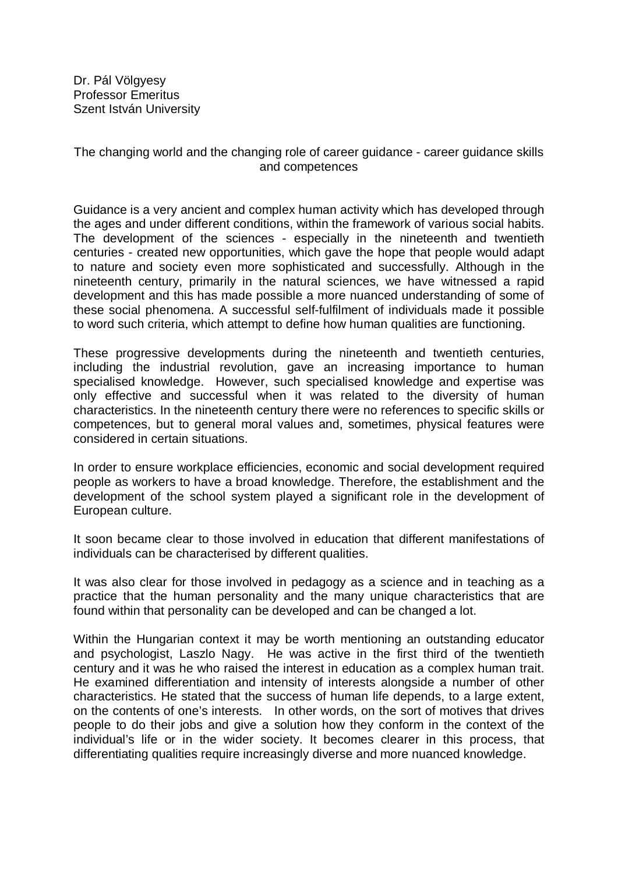Dr. Pál Völgyesy Professor Emeritus Szent István University

## The changing world and the changing role of career guidance - career guidance skills and competences

Guidance is a very ancient and complex human activity which has developed through the ages and under different conditions, within the framework of various social habits. The development of the sciences - especially in the nineteenth and twentieth centuries - created new opportunities, which gave the hope that people would adapt to nature and society even more sophisticated and successfully. Although in the nineteenth century, primarily in the natural sciences, we have witnessed a rapid development and this has made possible a more nuanced understanding of some of these social phenomena. A successful self-fulfilment of individuals made it possible to word such criteria, which attempt to define how human qualities are functioning.

These progressive developments during the nineteenth and twentieth centuries, including the industrial revolution, gave an increasing importance to human specialised knowledge. However, such specialised knowledge and expertise was only effective and successful when it was related to the diversity of human characteristics. In the nineteenth century there were no references to specific skills or competences, but to general moral values and, sometimes, physical features were considered in certain situations.

In order to ensure workplace efficiencies, economic and social development required people as workers to have a broad knowledge. Therefore, the establishment and the development of the school system played a significant role in the development of European culture.

It soon became clear to those involved in education that different manifestations of individuals can be characterised by different qualities.

It was also clear for those involved in pedagogy as a science and in teaching as a practice that the human personality and the many unique characteristics that are found within that personality can be developed and can be changed a lot.

Within the Hungarian context it may be worth mentioning an outstanding educator and psychologist, Laszlo Nagy. He was active in the first third of the twentieth century and it was he who raised the interest in education as a complex human trait. He examined differentiation and intensity of interests alongside a number of other characteristics. He stated that the success of human life depends, to a large extent, on the contents of one's interests. In other words, on the sort of motives that drives people to do their jobs and give a solution how they conform in the context of the individual's life or in the wider society. It becomes clearer in this process, that differentiating qualities require increasingly diverse and more nuanced knowledge.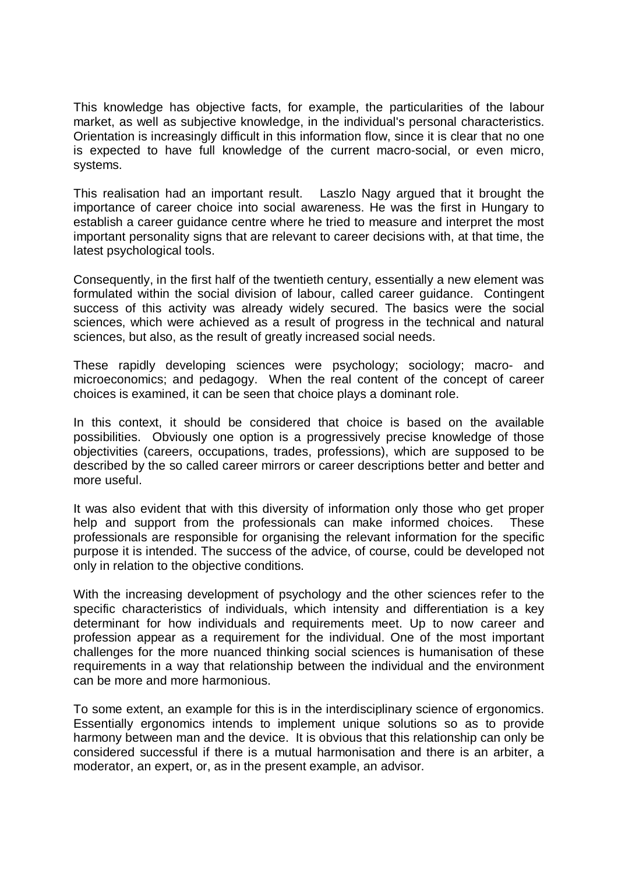This knowledge has objective facts, for example, the particularities of the labour market, as well as subjective knowledge, in the individual's personal characteristics. Orientation is increasingly difficult in this information flow, since it is clear that no one is expected to have full knowledge of the current macro-social, or even micro, systems.

This realisation had an important result. Laszlo Nagy argued that it brought the importance of career choice into social awareness. He was the first in Hungary to establish a career guidance centre where he tried to measure and interpret the most important personality signs that are relevant to career decisions with, at that time, the latest psychological tools.

Consequently, in the first half of the twentieth century, essentially a new element was formulated within the social division of labour, called career guidance. Contingent success of this activity was already widely secured. The basics were the social sciences, which were achieved as a result of progress in the technical and natural sciences, but also, as the result of greatly increased social needs.

These rapidly developing sciences were psychology; sociology; macro- and microeconomics; and pedagogy. When the real content of the concept of career choices is examined, it can be seen that choice plays a dominant role.

In this context, it should be considered that choice is based on the available possibilities. Obviously one option is a progressively precise knowledge of those objectivities (careers, occupations, trades, professions), which are supposed to be described by the so called career mirrors or career descriptions better and better and more useful.

It was also evident that with this diversity of information only those who get proper help and support from the professionals can make informed choices. These professionals are responsible for organising the relevant information for the specific purpose it is intended. The success of the advice, of course, could be developed not only in relation to the objective conditions.

With the increasing development of psychology and the other sciences refer to the specific characteristics of individuals, which intensity and differentiation is a key determinant for how individuals and requirements meet. Up to now career and profession appear as a requirement for the individual. One of the most important challenges for the more nuanced thinking social sciences is humanisation of these requirements in a way that relationship between the individual and the environment can be more and more harmonious.

To some extent, an example for this is in the interdisciplinary science of ergonomics. Essentially ergonomics intends to implement unique solutions so as to provide harmony between man and the device. It is obvious that this relationship can only be considered successful if there is a mutual harmonisation and there is an arbiter, a moderator, an expert, or, as in the present example, an advisor.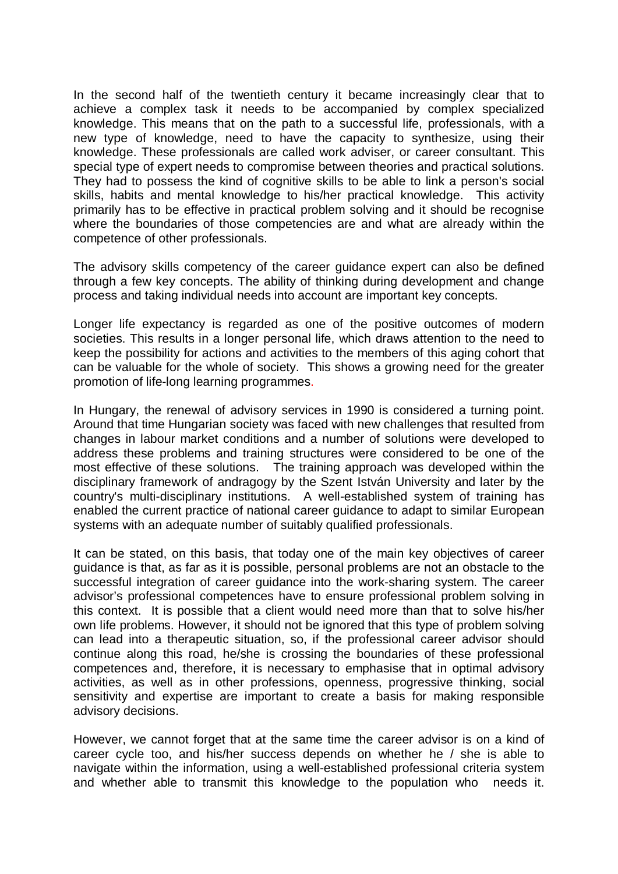In the second half of the twentieth century it became increasingly clear that to achieve a complex task it needs to be accompanied by complex specialized knowledge. This means that on the path to a successful life, professionals, with a new type of knowledge, need to have the capacity to synthesize, using their knowledge. These professionals are called work adviser, or career consultant. This special type of expert needs to compromise between theories and practical solutions. They had to possess the kind of cognitive skills to be able to link a person's social skills, habits and mental knowledge to his/her practical knowledge. This activity primarily has to be effective in practical problem solving and it should be recognise where the boundaries of those competencies are and what are already within the competence of other professionals.

The advisory skills competency of the career guidance expert can also be defined through a few key concepts. The ability of thinking during development and change process and taking individual needs into account are important key concepts.

Longer life expectancy is regarded as one of the positive outcomes of modern societies. This results in a longer personal life, which draws attention to the need to keep the possibility for actions and activities to the members of this aging cohort that can be valuable for the whole of society. This shows a growing need for the greater promotion of life-long learning programmes.

In Hungary, the renewal of advisory services in 1990 is considered a turning point. Around that time Hungarian society was faced with new challenges that resulted from changes in labour market conditions and a number of solutions were developed to address these problems and training structures were considered to be one of the most effective of these solutions. The training approach was developed within the disciplinary framework of andragogy by the Szent István University and later by the country's multi-disciplinary institutions. A well-established system of training has enabled the current practice of national career guidance to adapt to similar European systems with an adequate number of suitably qualified professionals.

It can be stated, on this basis, that today one of the main key objectives of career guidance is that, as far as it is possible, personal problems are not an obstacle to the successful integration of career guidance into the work-sharing system. The career advisor's professional competences have to ensure professional problem solving in this context. It is possible that a client would need more than that to solve his/her own life problems. However, it should not be ignored that this type of problem solving can lead into a therapeutic situation, so, if the professional career advisor should continue along this road, he/she is crossing the boundaries of these professional competences and, therefore, it is necessary to emphasise that in optimal advisory activities, as well as in other professions, openness, progressive thinking, social sensitivity and expertise are important to create a basis for making responsible advisory decisions.

However, we cannot forget that at the same time the career advisor is on a kind of career cycle too, and his/her success depends on whether he / she is able to navigate within the information, using a well-established professional criteria system and whether able to transmit this knowledge to the population who needs it.